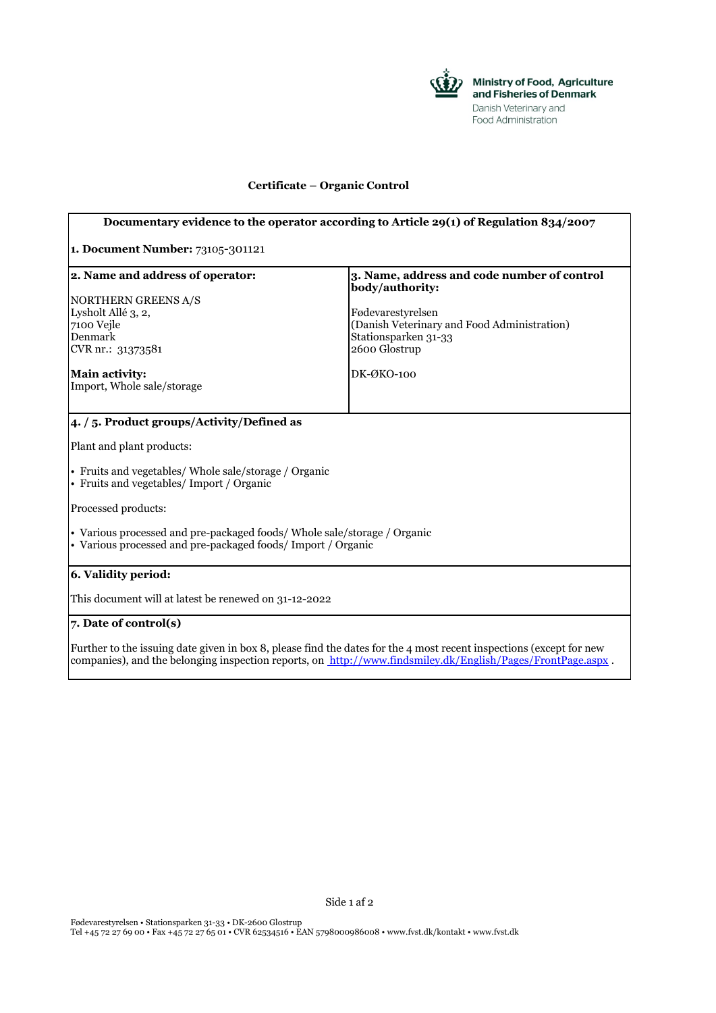

×

## **Certificate – Organic Control**

| Documentary evidence to the operator according to Article 29(1) of Regulation 834/2007                                                                                                                                             |                                                                                      |
|------------------------------------------------------------------------------------------------------------------------------------------------------------------------------------------------------------------------------------|--------------------------------------------------------------------------------------|
| 1. Document Number: 73105-301121                                                                                                                                                                                                   |                                                                                      |
| 2. Name and address of operator:<br>NORTHERN GREENS A/S                                                                                                                                                                            | 3. Name, address and code number of control<br>body/authority:<br>Fødevarestyrelsen  |
| Lysholt Allé 3, 2,<br>7100 Vejle<br>Denmark<br>CVR nr.: 31373581                                                                                                                                                                   | (Danish Veterinary and Food Administration)<br>Stationsparken 31-33<br>2600 Glostrup |
| <b>Main activity:</b><br>Import, Whole sale/storage                                                                                                                                                                                | $DK-OKO-100$                                                                         |
| 4. / 5. Product groups/Activity/Defined as                                                                                                                                                                                         |                                                                                      |
| Plant and plant products:                                                                                                                                                                                                          |                                                                                      |
| • Fruits and vegetables/ Whole sale/storage / Organic<br>• Fruits and vegetables/ Import / Organic                                                                                                                                 |                                                                                      |
| Processed products:                                                                                                                                                                                                                |                                                                                      |
| • Various processed and pre-packaged foods/Whole sale/storage / Organic<br>• Various processed and pre-packaged foods/ Import / Organic                                                                                            |                                                                                      |
| 6. Validity period:                                                                                                                                                                                                                |                                                                                      |
| This document will at latest be renewed on 31-12-2022                                                                                                                                                                              |                                                                                      |
| 7. Date of control(s)                                                                                                                                                                                                              |                                                                                      |
| Further to the issuing date given in box 8, please find the dates for the 4 most recent inspections (except for new<br>companies), and the belonging inspection reports, on http://www.findsmiley.dk/English/Pages/FrontPage.aspx. |                                                                                      |